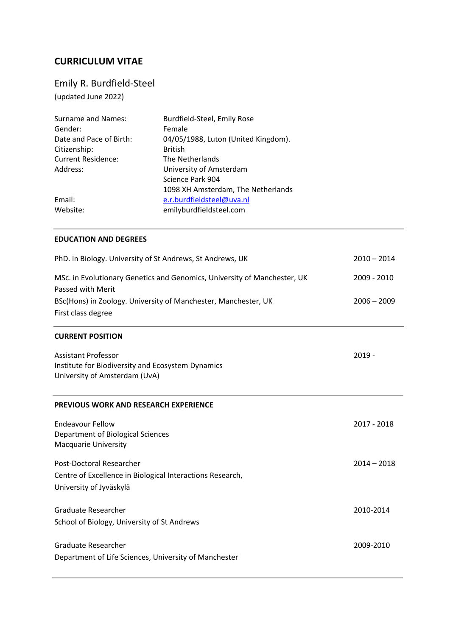# **CURRICULUM VITAE**

# Emily R. Burdfield-Steel

(updated June 2022)

| <b>Surname and Names:</b> | Burdfield-Steel, Emily Rose         |
|---------------------------|-------------------------------------|
| Gender:                   | Female                              |
| Date and Pace of Birth:   | 04/05/1988, Luton (United Kingdom). |
| Citizenship:              | <b>British</b>                      |
| <b>Current Residence:</b> | The Netherlands                     |
| Address:                  | University of Amsterdam             |
|                           | Science Park 904                    |
|                           | 1098 XH Amsterdam, The Netherlands  |
| Email:                    | e.r.burdfieldsteel@uva.nl           |
| Website:                  | emilyburdfieldsteel.com             |

#### **EDUCATION AND DEGREES**

| PhD. in Biology. University of St Andrews, St Andrews, UK                                                        | $2010 - 2014$ |
|------------------------------------------------------------------------------------------------------------------|---------------|
| MSc. in Evolutionary Genetics and Genomics, University of Manchester, UK<br>Passed with Merit                    | 2009 - 2010   |
| BSc(Hons) in Zoology. University of Manchester, Manchester, UK<br>First class degree                             | $2006 - 2009$ |
| <b>CURRENT POSITION</b>                                                                                          |               |
| <b>Assistant Professor</b><br>Institute for Biodiversity and Ecosystem Dynamics<br>University of Amsterdam (UvA) | $2019 -$      |
| <b>PREVIOUS WORK AND RESEARCH EXPERIENCE</b>                                                                     |               |
| <b>Endeavour Fellow</b><br>Department of Biological Sciences<br><b>Macquarie University</b>                      | 2017 - 2018   |
| Post-Doctoral Researcher<br>Centre of Excellence in Biological Interactions Research,<br>University of Jyväskylä | $2014 - 2018$ |
| Graduate Researcher<br>School of Biology, University of St Andrews                                               | 2010-2014     |
| Graduate Researcher<br>Department of Life Sciences, University of Manchester                                     | 2009-2010     |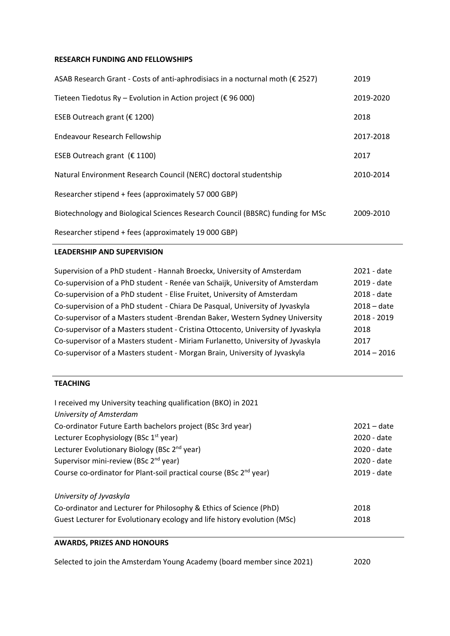#### **RESEARCH FUNDING AND FELLOWSHIPS**

| ASAB Research Grant - Costs of anti-aphrodisiacs in a nocturnal moth (€ 2527)  | 2019      |
|--------------------------------------------------------------------------------|-----------|
| Tieteen Tiedotus Ry - Evolution in Action project ( $\epsilon$ 96 000)         | 2019-2020 |
| ESEB Outreach grant (€ 1200)                                                   | 2018      |
| Endeavour Research Fellowship                                                  | 2017-2018 |
| ESEB Outreach grant ( $\epsilon$ 1100)                                         | 2017      |
| Natural Environment Research Council (NERC) doctoral studentship               | 2010-2014 |
| Researcher stipend + fees (approximately 57 000 GBP)                           |           |
| Biotechnology and Biological Sciences Research Council (BBSRC) funding for MSc | 2009-2010 |
| Researcher stipend + fees (approximately 19 000 GBP)                           |           |

### **LEADERSHIP AND SUPERVISION**

| Supervision of a PhD student - Hannah Broeckx, University of Amsterdam           | 2021 - date   |
|----------------------------------------------------------------------------------|---------------|
| Co-supervision of a PhD student - Renée van Schaijk, University of Amsterdam     | 2019 - date   |
| Co-supervision of a PhD student - Elise Fruitet, University of Amsterdam         | 2018 - date   |
| Co-supervision of a PhD student - Chiara De Pasqual, University of Jyvaskyla     | $2018 - date$ |
| Co-supervisor of a Masters student -Brendan Baker, Western Sydney University     | 2018 - 2019   |
| Co-supervisor of a Masters student - Cristina Ottocento, University of Jyvaskyla | 2018          |
| Co-supervisor of a Masters student - Miriam Furlanetto, University of Jyvaskyla  | 2017          |
| Co-supervisor of a Masters student - Morgan Brain, University of Jyvaskyla       | $2014 - 2016$ |

#### **TEACHING**

| I received my University teaching qualification (BKO) in 2021                  |               |
|--------------------------------------------------------------------------------|---------------|
| University of Amsterdam                                                        |               |
| Co-ordinator Future Earth bachelors project (BSc 3rd year)                     | $2021 - date$ |
| Lecturer Ecophysiology (BSc 1 <sup>st</sup> year)                              | 2020 - date   |
| Lecturer Evolutionary Biology (BSc 2 <sup>nd</sup> year)                       | 2020 - date   |
| Supervisor mini-review (BSc 2 <sup>nd</sup> year)                              | 2020 - date   |
| Course co-ordinator for Plant-soil practical course (BSc 2 <sup>nd</sup> year) | 2019 - date   |
| University of Jyvaskyla                                                        |               |
| Co-ordinator and Lecturer for Philosophy & Ethics of Science (PhD)             | 2018          |
| Guest Lecturer for Evolutionary ecology and life history evolution (MSc)       | 2018          |
| <b>AWARDS, PRIZES AND HONOURS</b>                                              |               |

Selected to join the Amsterdam Young Academy (board member since 2021) 2020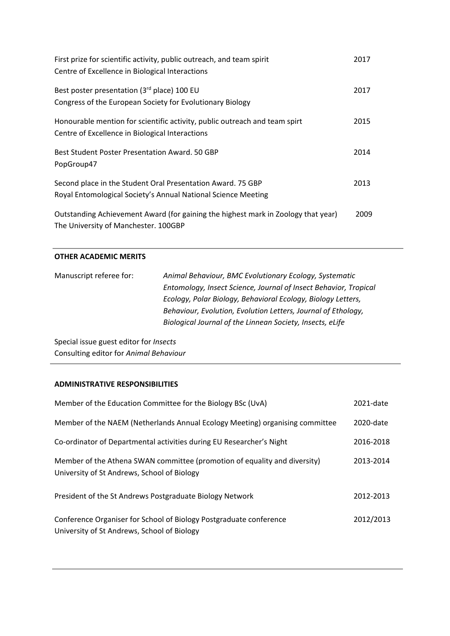| First prize for scientific activity, public outreach, and team spirit<br>Centre of Excellence in Biological Interactions      | 2017 |
|-------------------------------------------------------------------------------------------------------------------------------|------|
| Best poster presentation (3rd place) 100 EU<br>Congress of the European Society for Evolutionary Biology                      | 2017 |
| Honourable mention for scientific activity, public outreach and team spirt<br>Centre of Excellence in Biological Interactions | 2015 |
| Best Student Poster Presentation Award, 50 GBP<br>PopGroup47                                                                  | 2014 |
| Second place in the Student Oral Presentation Award. 75 GBP<br>Royal Entomological Society's Annual National Science Meeting  | 2013 |
| Outstanding Achievement Award (for gaining the highest mark in Zoology that year)<br>The University of Manchester. 100GBP     | 2009 |

#### **OTHER ACADEMIC MERITS**

| Manuscript referee for: | Animal Behaviour, BMC Evolutionary Ecology, Systematic           |
|-------------------------|------------------------------------------------------------------|
|                         | Entomology, Insect Science, Journal of Insect Behavior, Tropical |
|                         | Ecology, Polar Biology, Behavioral Ecology, Biology Letters,     |
|                         | Behaviour, Evolution, Evolution Letters, Journal of Ethology,    |
|                         | Biological Journal of the Linnean Society, Insects, eLife        |

Special issue guest editor for *Insects* Consulting editor for *Animal Behaviour*

# **ADMINISTRATIVE RESPONSIBILITIES**

| Member of the Education Committee for the Biology BSc (UvA)                                                              | 2021-date |
|--------------------------------------------------------------------------------------------------------------------------|-----------|
| Member of the NAEM (Netherlands Annual Ecology Meeting) organising committee                                             | 2020-date |
| Co-ordinator of Departmental activities during EU Researcher's Night                                                     | 2016-2018 |
| Member of the Athena SWAN committee (promotion of equality and diversity)<br>University of St Andrews, School of Biology | 2013-2014 |
| President of the St Andrews Postgraduate Biology Network                                                                 | 2012-2013 |
| Conference Organiser for School of Biology Postgraduate conference<br>University of St Andrews, School of Biology        | 2012/2013 |